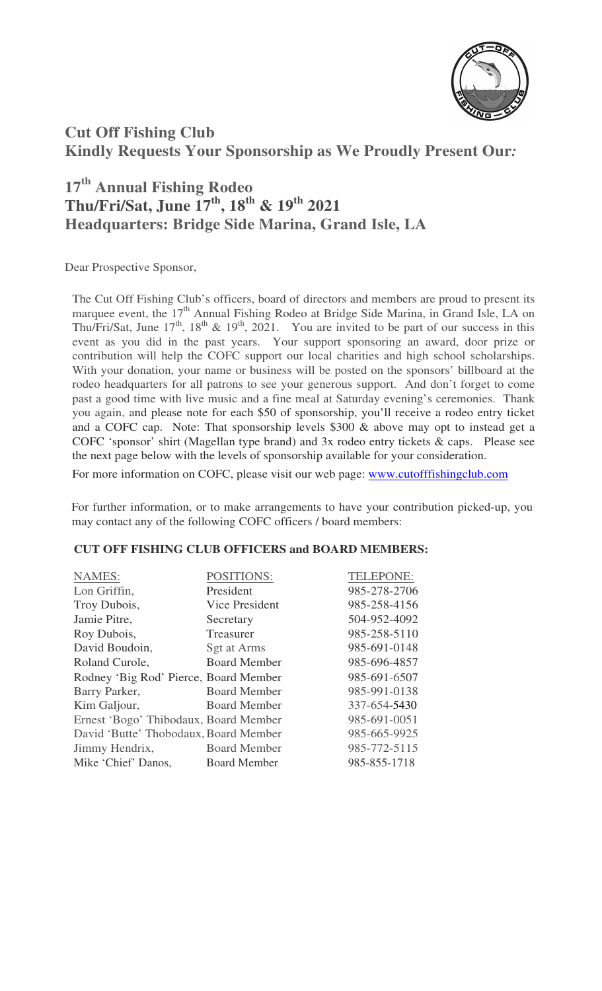

## **Cut Off Fishing Club Kindly Requests Your Sponsorship as We Proudly Present Our***:*

## **17th Annual Fishing Rodeo Thu/Fri/Sat, June 17th, 18th & 19th 2021 Headquarters: Bridge Side Marina, Grand Isle, LA**

Dear Prospective Sponsor,

The Cut Off Fishing Club's officers, board of directors and members are proud to present its marquee event, the 17<sup>th</sup> Annual Fishing Rodeo at Bridge Side Marina, in Grand Isle, LA on Thu/Fri/Sat, June  $17<sup>th</sup>$ ,  $18<sup>th</sup>$  &  $19<sup>th</sup>$ , 2021. You are invited to be part of our success in this event as you did in the past years. Your support sponsoring an award, door prize or contribution will help the COFC support our local charities and high school scholarships. With your donation, your name or business will be posted on the sponsors' billboard at the rodeo headquarters for all patrons to see your generous support. And don't forget to come past a good time with live music and a fine meal at Saturday evening's ceremonies. Thank you again, and please note for each \$50 of sponsorship, you'll receive a rodeo entry ticket and a COFC cap. Note: That sponsorship levels \$300 & above may opt to instead get a COFC 'sponsor' shirt (Magellan type brand) and 3x rodeo entry tickets & caps. Please see the next page below with the levels of sponsorship available for your consideration.

For more information on COFC, please visit our web page: www.cutofffishingclub.com

For further information, or to make arrangements to have your contribution picked-up, you may contact any of the following COFC officers / board members:

## **CUT OFF FISHING CLUB OFFICERS and BOARD MEMBERS:**

| <b>NAMES:</b>                         | <b>POSITIONS:</b>   | TELEPONE:    |
|---------------------------------------|---------------------|--------------|
| Lon Griffin,                          | President           | 985-278-2706 |
| Troy Dubois,                          | Vice President      | 985-258-4156 |
| Jamie Pitre,                          | Secretary           | 504-952-4092 |
| Roy Dubois,                           | Treasurer           | 985-258-5110 |
| David Boudoin,                        | Sgt at Arms         | 985-691-0148 |
| Roland Curole,                        | <b>Board Member</b> | 985-696-4857 |
| Rodney 'Big Rod' Pierce, Board Member |                     | 985-691-6507 |
| Barry Parker,                         | <b>Board Member</b> | 985-991-0138 |
| Kim Galjour,                          | <b>Board Member</b> | 337-654-5430 |
| Ernest 'Bogo' Thibodaux, Board Member |                     | 985-691-0051 |
| David 'Butte' Thobodaux, Board Member |                     | 985-665-9925 |
| Jimmy Hendrix,                        | <b>Board Member</b> | 985-772-5115 |
| Mike 'Chief' Danos,                   | <b>Board Member</b> | 985-855-1718 |
|                                       |                     |              |